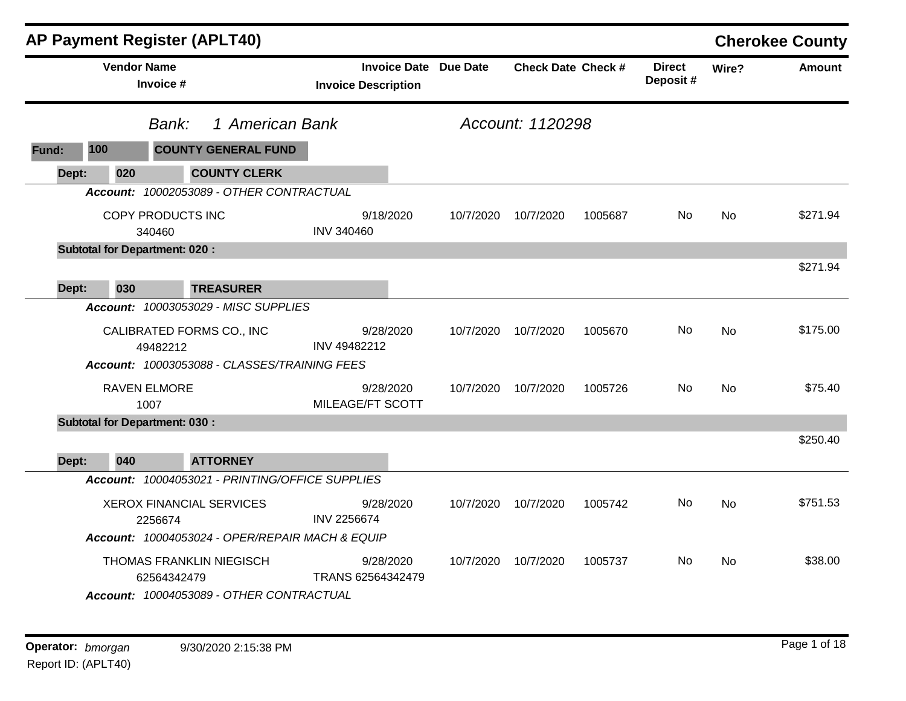|       |                    | AP Payment Register (APLT40)                                                                  |                                                            |           |                           |         |                           |           | <b>Cherokee County</b> |
|-------|--------------------|-----------------------------------------------------------------------------------------------|------------------------------------------------------------|-----------|---------------------------|---------|---------------------------|-----------|------------------------|
|       | <b>Vendor Name</b> | Invoice #                                                                                     | <b>Invoice Date Due Date</b><br><b>Invoice Description</b> |           | <b>Check Date Check #</b> |         | <b>Direct</b><br>Deposit# | Wire?     | <b>Amount</b>          |
|       |                    | 1 American Bank<br>Bank:                                                                      |                                                            |           | Account: 1120298          |         |                           |           |                        |
| Fund: | 100                | <b>COUNTY GENERAL FUND</b>                                                                    |                                                            |           |                           |         |                           |           |                        |
| Dept: | 020                | <b>COUNTY CLERK</b>                                                                           |                                                            |           |                           |         |                           |           |                        |
|       |                    | Account: 10002053089 - OTHER CONTRACTUAL                                                      |                                                            |           |                           |         |                           |           |                        |
|       |                    | COPY PRODUCTS INC<br>340460                                                                   | 9/18/2020<br><b>INV 340460</b>                             | 10/7/2020 | 10/7/2020                 | 1005687 | No.                       | <b>No</b> | \$271.94               |
|       |                    | <b>Subtotal for Department: 020:</b>                                                          |                                                            |           |                           |         |                           |           |                        |
| Dept: | 030                | <b>TREASURER</b>                                                                              |                                                            |           |                           |         |                           |           | \$271.94               |
|       |                    | <b>Account: 10003053029 - MISC SUPPLIES</b>                                                   |                                                            |           |                           |         |                           |           |                        |
|       |                    | CALIBRATED FORMS CO., INC<br>49482212<br>Account: 10003053088 - CLASSES/TRAINING FEES         | 9/28/2020<br>INV 49482212                                  | 10/7/2020 | 10/7/2020                 | 1005670 | No.                       | <b>No</b> | \$175.00               |
|       |                    | <b>RAVEN ELMORE</b><br>1007                                                                   | 9/28/2020<br>MILEAGE/FT SCOTT                              | 10/7/2020 | 10/7/2020                 | 1005726 | No.                       | <b>No</b> | \$75.40                |
|       |                    | <b>Subtotal for Department: 030:</b>                                                          |                                                            |           |                           |         |                           |           |                        |
| Dept: | 040                | <b>ATTORNEY</b>                                                                               |                                                            |           |                           |         |                           |           | \$250.40               |
|       |                    | Account: 10004053021 - PRINTING/OFFICE SUPPLIES                                               |                                                            |           |                           |         |                           |           |                        |
|       |                    | <b>XEROX FINANCIAL SERVICES</b><br>2256674<br>Account: 10004053024 - OPER/REPAIR MACH & EQUIP | 9/28/2020<br><b>INV 2256674</b>                            | 10/7/2020 | 10/7/2020                 | 1005742 | No.                       | No        | \$751.53               |
|       |                    | THOMAS FRANKLIN NIEGISCH<br>62564342479<br>Account: 10004053089 - OTHER CONTRACTUAL           | 9/28/2020<br>TRANS 62564342479                             | 10/7/2020 | 10/7/2020                 | 1005737 | No                        | No        | \$38.00                |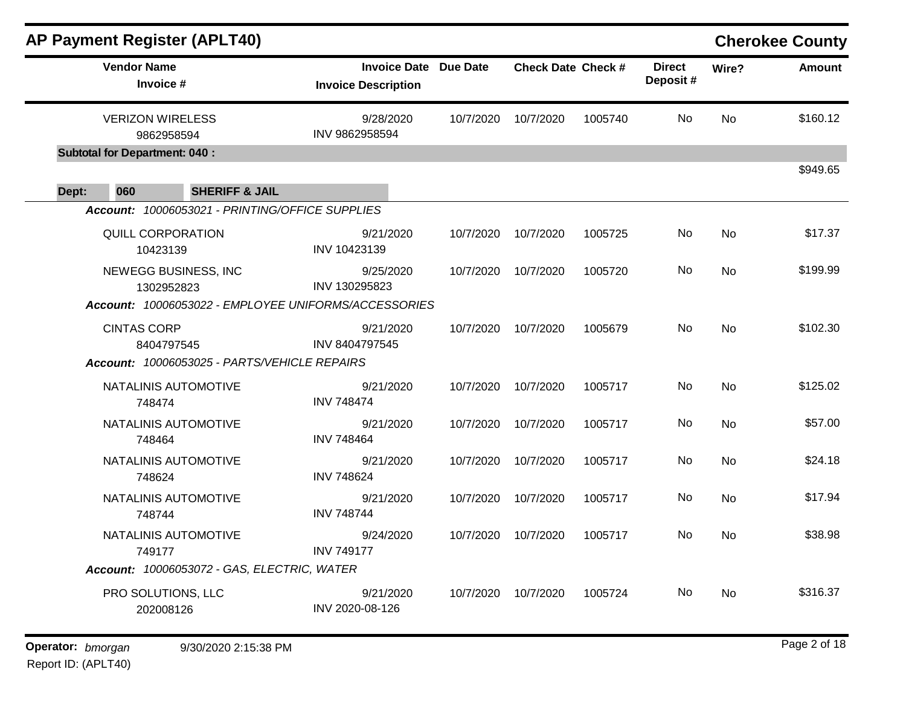|       |                                       | <b>AP Payment Register (APLT40)</b>             |                                                            |           |                           |         |                           |           | <b>Cherokee County</b> |
|-------|---------------------------------------|-------------------------------------------------|------------------------------------------------------------|-----------|---------------------------|---------|---------------------------|-----------|------------------------|
|       | <b>Vendor Name</b><br>Invoice #       |                                                 | <b>Invoice Date Due Date</b><br><b>Invoice Description</b> |           | <b>Check Date Check #</b> |         | <b>Direct</b><br>Deposit# | Wire?     | <b>Amount</b>          |
|       | <b>VERIZON WIRELESS</b><br>9862958594 |                                                 | 9/28/2020<br>INV 9862958594                                | 10/7/2020 | 10/7/2020                 | 1005740 | No.                       | <b>No</b> | \$160.12               |
|       | <b>Subtotal for Department: 040:</b>  |                                                 |                                                            |           |                           |         |                           |           |                        |
| Dept: | 060                                   | <b>SHERIFF &amp; JAIL</b>                       |                                                            |           |                           |         |                           |           | \$949.65               |
|       |                                       | Account: 10006053021 - PRINTING/OFFICE SUPPLIES |                                                            |           |                           |         |                           |           |                        |
|       | QUILL CORPORATION<br>10423139         |                                                 | 9/21/2020<br>INV 10423139                                  | 10/7/2020 | 10/7/2020                 | 1005725 | No                        | <b>No</b> | \$17.37                |
|       | 1302952823                            | NEWEGG BUSINESS, INC                            | 9/25/2020<br>INV 130295823                                 | 10/7/2020 | 10/7/2020                 | 1005720 | No.                       | <b>No</b> | \$199.99               |
|       |                                       |                                                 | Account: 10006053022 - EMPLOYEE UNIFORMS/ACCESSORIES       |           |                           |         |                           |           |                        |
|       | <b>CINTAS CORP</b>                    | 8404797545                                      | 9/21/2020<br><b>INV 8404797545</b>                         | 10/7/2020 | 10/7/2020                 | 1005679 | No.                       | <b>No</b> | \$102.30               |
|       |                                       | Account: 10006053025 - PARTS/VEHICLE REPAIRS    |                                                            |           |                           |         |                           |           |                        |
|       | 748474                                | NATALINIS AUTOMOTIVE                            | 9/21/2020<br><b>INV 748474</b>                             | 10/7/2020 | 10/7/2020                 | 1005717 | No.                       | <b>No</b> | \$125.02               |
|       | 748464                                | NATALINIS AUTOMOTIVE                            | 9/21/2020<br><b>INV 748464</b>                             | 10/7/2020 | 10/7/2020                 | 1005717 | No.                       | <b>No</b> | \$57.00                |
|       | 748624                                | NATALINIS AUTOMOTIVE                            | 9/21/2020<br><b>INV 748624</b>                             | 10/7/2020 | 10/7/2020                 | 1005717 | No                        | <b>No</b> | \$24.18                |
|       | 748744                                | NATALINIS AUTOMOTIVE                            | 9/21/2020<br><b>INV 748744</b>                             | 10/7/2020 | 10/7/2020                 | 1005717 | No                        | <b>No</b> | \$17.94                |
|       | 749177                                | NATALINIS AUTOMOTIVE                            | 9/24/2020<br><b>INV 749177</b>                             | 10/7/2020 | 10/7/2020                 | 1005717 | No.                       | No        | \$38.98                |
|       |                                       | Account: 10006053072 - GAS, ELECTRIC, WATER     |                                                            |           |                           |         |                           |           |                        |
|       | PRO SOLUTIONS, LLC<br>202008126       |                                                 | 9/21/2020<br>INV 2020-08-126                               | 10/7/2020 | 10/7/2020                 | 1005724 | No                        | No        | \$316.37               |
|       |                                       |                                                 |                                                            |           |                           |         |                           |           |                        |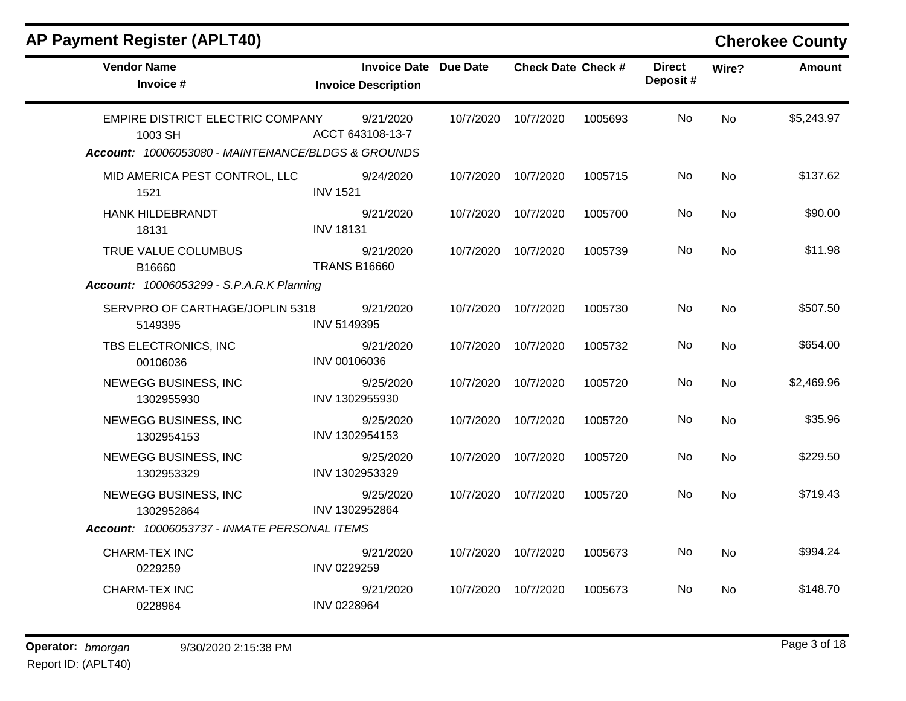# **AP Payment Register (APLT40) Cherokee County**

| <b>Vendor Name</b><br>Invoice #                                                                   | Invoice Date Due Date<br><b>Invoice Description</b> |           | <b>Check Date Check #</b> |         | <b>Direct</b><br>Deposit# | Wire?     | <b>Amount</b> |
|---------------------------------------------------------------------------------------------------|-----------------------------------------------------|-----------|---------------------------|---------|---------------------------|-----------|---------------|
| EMPIRE DISTRICT ELECTRIC COMPANY<br>1003 SH<br>Account: 10006053080 - MAINTENANCE/BLDGS & GROUNDS | 9/21/2020<br>ACCT 643108-13-7                       | 10/7/2020 | 10/7/2020                 | 1005693 | No.                       | <b>No</b> | \$5,243.97    |
| MID AMERICA PEST CONTROL, LLC<br>1521                                                             | 9/24/2020<br><b>INV 1521</b>                        | 10/7/2020 | 10/7/2020                 | 1005715 | No.                       | <b>No</b> | \$137.62      |
| <b>HANK HILDEBRANDT</b><br>18131                                                                  | 9/21/2020<br><b>INV 18131</b>                       | 10/7/2020 | 10/7/2020                 | 1005700 | No.                       | <b>No</b> | \$90.00       |
| TRUE VALUE COLUMBUS<br>B16660                                                                     | 9/21/2020<br><b>TRANS B16660</b>                    | 10/7/2020 | 10/7/2020                 | 1005739 | <b>No</b>                 | <b>No</b> | \$11.98       |
| <b>Account: 10006053299 - S.P.A.R.K Planning</b>                                                  |                                                     |           |                           |         |                           |           |               |
| SERVPRO OF CARTHAGE/JOPLIN 5318<br>5149395                                                        | 9/21/2020<br>INV 5149395                            | 10/7/2020 | 10/7/2020                 | 1005730 | No                        | <b>No</b> | \$507.50      |
| TBS ELECTRONICS, INC<br>00106036                                                                  | 9/21/2020<br>INV 00106036                           | 10/7/2020 | 10/7/2020                 | 1005732 | No.                       | No        | \$654.00      |
| NEWEGG BUSINESS, INC<br>1302955930                                                                | 9/25/2020<br>INV 1302955930                         | 10/7/2020 | 10/7/2020                 | 1005720 | No.                       | <b>No</b> | \$2,469.96    |
| NEWEGG BUSINESS, INC<br>1302954153                                                                | 9/25/2020<br>INV 1302954153                         | 10/7/2020 | 10/7/2020                 | 1005720 | <b>No</b>                 | No        | \$35.96       |
| NEWEGG BUSINESS, INC<br>1302953329                                                                | 9/25/2020<br>INV 1302953329                         | 10/7/2020 | 10/7/2020                 | 1005720 | No.                       | No        | \$229.50      |
| NEWEGG BUSINESS, INC<br>1302952864                                                                | 9/25/2020<br>INV 1302952864                         | 10/7/2020 | 10/7/2020                 | 1005720 | No.                       | <b>No</b> | \$719.43      |
| Account: 10006053737 - INMATE PERSONAL ITEMS                                                      |                                                     |           |                           |         |                           |           |               |
| <b>CHARM-TEX INC</b><br>0229259                                                                   | 9/21/2020<br>INV 0229259                            | 10/7/2020 | 10/7/2020                 | 1005673 | No.                       | <b>No</b> | \$994.24      |
| <b>CHARM-TEX INC</b><br>0228964                                                                   | 9/21/2020<br>INV 0228964                            | 10/7/2020 | 10/7/2020                 | 1005673 | No.                       | No        | \$148.70      |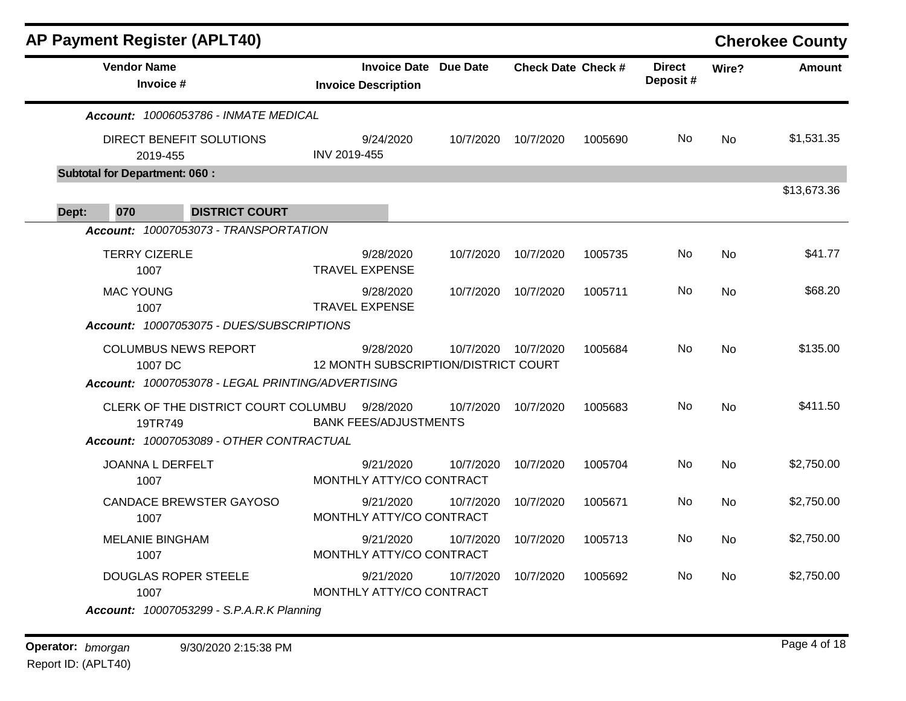|                                      | <b>AP Payment Register (APLT40)</b>                                                        |              |                                                            |           |                           |         |                           |           | <b>Cherokee County</b> |
|--------------------------------------|--------------------------------------------------------------------------------------------|--------------|------------------------------------------------------------|-----------|---------------------------|---------|---------------------------|-----------|------------------------|
| <b>Vendor Name</b>                   | Invoice #                                                                                  |              | <b>Invoice Date Due Date</b><br><b>Invoice Description</b> |           | <b>Check Date Check #</b> |         | <b>Direct</b><br>Deposit# | Wire?     | <b>Amount</b>          |
|                                      | Account: 10006053786 - INMATE MEDICAL                                                      |              |                                                            |           |                           |         |                           |           |                        |
|                                      | DIRECT BENEFIT SOLUTIONS<br>2019-455                                                       | INV 2019-455 | 9/24/2020                                                  | 10/7/2020 | 10/7/2020                 | 1005690 | No.                       | <b>No</b> | \$1,531.35             |
| <b>Subtotal for Department: 060:</b> |                                                                                            |              |                                                            |           |                           |         |                           |           |                        |
| 070<br>Dept:                         | <b>DISTRICT COURT</b>                                                                      |              |                                                            |           |                           |         |                           |           | \$13,673.36            |
|                                      | Account: 10007053073 - TRANSPORTATION                                                      |              |                                                            |           |                           |         |                           |           |                        |
|                                      | <b>TERRY CIZERLE</b><br>1007                                                               |              | 9/28/2020<br><b>TRAVEL EXPENSE</b>                         | 10/7/2020 | 10/7/2020                 | 1005735 | No                        | <b>No</b> | \$41.77                |
| <b>MAC YOUNG</b>                     | 1007                                                                                       |              | 9/28/2020<br><b>TRAVEL EXPENSE</b>                         | 10/7/2020 | 10/7/2020                 | 1005711 | No                        | <b>No</b> | \$68.20                |
|                                      | Account: 10007053075 - DUES/SUBSCRIPTIONS                                                  |              |                                                            |           |                           |         |                           |           |                        |
|                                      | <b>COLUMBUS NEWS REPORT</b><br>1007 DC                                                     |              | 9/28/2020<br>12 MONTH SUBSCRIPTION/DISTRICT COURT          | 10/7/2020 | 10/7/2020                 | 1005684 | No                        | <b>No</b> | \$135.00               |
|                                      | Account: 10007053078 - LEGAL PRINTING/ADVERTISING                                          |              |                                                            |           |                           |         |                           |           |                        |
|                                      | CLERK OF THE DISTRICT COURT COLUMBU<br>19TR749<br>Account: 10007053089 - OTHER CONTRACTUAL |              | 9/28/2020<br><b>BANK FEES/ADJUSTMENTS</b>                  | 10/7/2020 | 10/7/2020                 | 1005683 | No.                       | <b>No</b> | \$411.50               |
|                                      | JOANNA L DERFELT<br>1007                                                                   |              | 9/21/2020<br>MONTHLY ATTY/CO CONTRACT                      | 10/7/2020 | 10/7/2020                 | 1005704 | No                        | <b>No</b> | \$2,750.00             |
|                                      | <b>CANDACE BREWSTER GAYOSO</b><br>1007                                                     |              | 9/21/2020<br>MONTHLY ATTY/CO CONTRACT                      | 10/7/2020 | 10/7/2020                 | 1005671 | No                        | <b>No</b> | \$2,750.00             |
|                                      | <b>MELANIE BINGHAM</b><br>1007                                                             |              | 9/21/2020<br>MONTHLY ATTY/CO CONTRACT                      | 10/7/2020 | 10/7/2020                 | 1005713 | No                        | No        | \$2,750.00             |
|                                      | <b>DOUGLAS ROPER STEELE</b><br>1007                                                        |              | 9/21/2020<br>MONTHLY ATTY/CO CONTRACT                      | 10/7/2020 | 10/7/2020                 | 1005692 | No.                       | <b>No</b> | \$2,750.00             |
|                                      | <b>Account: 10007053299 - S.P.A.R.K Planning</b>                                           |              |                                                            |           |                           |         |                           |           |                        |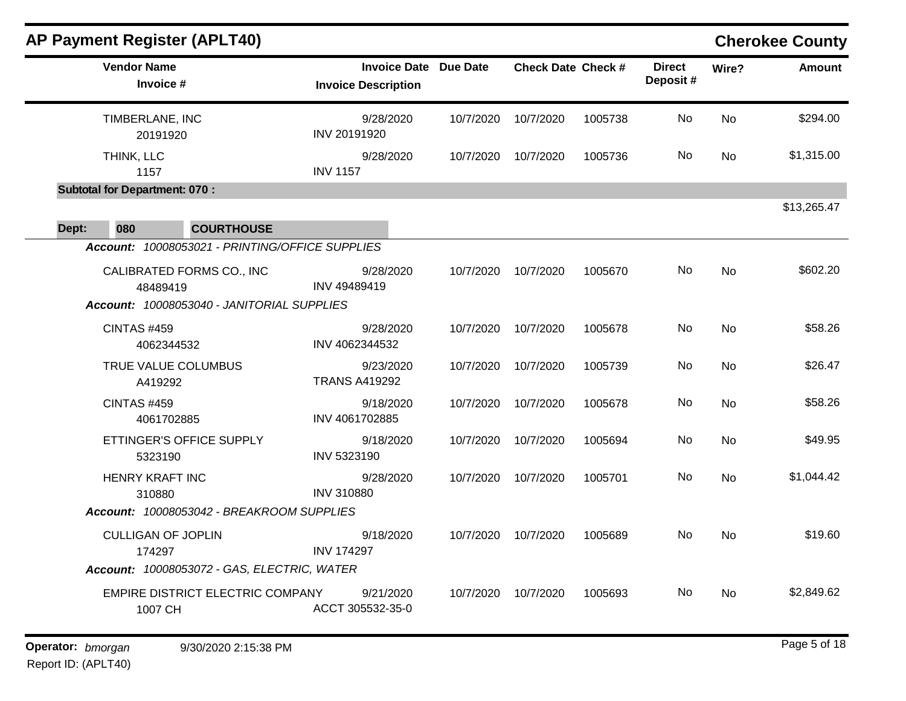|                                   |                                                                                                                                                                                                                               |                              |         |                           |                                                                                                    | <b>Cherokee County</b> |
|-----------------------------------|-------------------------------------------------------------------------------------------------------------------------------------------------------------------------------------------------------------------------------|------------------------------|---------|---------------------------|----------------------------------------------------------------------------------------------------|------------------------|
| <b>Invoice Description</b>        |                                                                                                                                                                                                                               |                              |         | <b>Direct</b><br>Deposit# | Wire?                                                                                              | <b>Amount</b>          |
| 9/28/2020<br>INV 20191920         | 10/7/2020                                                                                                                                                                                                                     | 10/7/2020                    | 1005738 | No                        | <b>No</b><br>No<br>No<br><b>No</b><br>No<br><b>No</b><br><b>No</b><br><b>No</b><br><b>No</b><br>No | \$294.00               |
| 9/28/2020<br><b>INV 1157</b>      | 10/7/2020                                                                                                                                                                                                                     | 10/7/2020                    | 1005736 | No                        |                                                                                                    | \$1,315.00             |
|                                   |                                                                                                                                                                                                                               |                              |         |                           |                                                                                                    | \$13,265.47            |
|                                   |                                                                                                                                                                                                                               |                              |         |                           |                                                                                                    |                        |
| 9/28/2020<br><b>INV 49489419</b>  | 10/7/2020                                                                                                                                                                                                                     | 10/7/2020                    | 1005670 | No                        |                                                                                                    | \$602.20               |
| 9/28/2020<br>INV 4062344532       | 10/7/2020                                                                                                                                                                                                                     | 10/7/2020                    | 1005678 | No                        |                                                                                                    | \$58.26                |
| 9/23/2020<br><b>TRANS A419292</b> | 10/7/2020                                                                                                                                                                                                                     | 10/7/2020                    | 1005739 | No                        |                                                                                                    | \$26.47                |
| 9/18/2020<br>INV 4061702885       | 10/7/2020                                                                                                                                                                                                                     | 10/7/2020                    | 1005678 | No                        |                                                                                                    | \$58.26                |
| 9/18/2020<br>INV 5323190          | 10/7/2020                                                                                                                                                                                                                     | 10/7/2020                    | 1005694 | No                        |                                                                                                    | \$49.95                |
| 9/28/2020<br><b>INV 310880</b>    | 10/7/2020                                                                                                                                                                                                                     | 10/7/2020                    | 1005701 | No                        |                                                                                                    | \$1,044.42             |
|                                   |                                                                                                                                                                                                                               |                              |         |                           |                                                                                                    |                        |
| 9/18/2020<br><b>INV 174297</b>    | 10/7/2020                                                                                                                                                                                                                     | 10/7/2020                    | 1005689 | No                        |                                                                                                    | \$19.60                |
|                                   |                                                                                                                                                                                                                               |                              |         |                           |                                                                                                    |                        |
| 9/21/2020<br>ACCT 305532-35-0     | 10/7/2020                                                                                                                                                                                                                     | 10/7/2020                    | 1005693 | No                        |                                                                                                    | \$2,849.62             |
|                                   | Account: 10008053021 - PRINTING/OFFICE SUPPLIES<br>Account: 10008053040 - JANITORIAL SUPPLIES<br>Account: 10008053042 - BREAKROOM SUPPLIES<br>Account: 10008053072 - GAS, ELECTRIC, WATER<br>EMPIRE DISTRICT ELECTRIC COMPANY | <b>Invoice Date Due Date</b> |         | <b>Check Date Check #</b> |                                                                                                    |                        |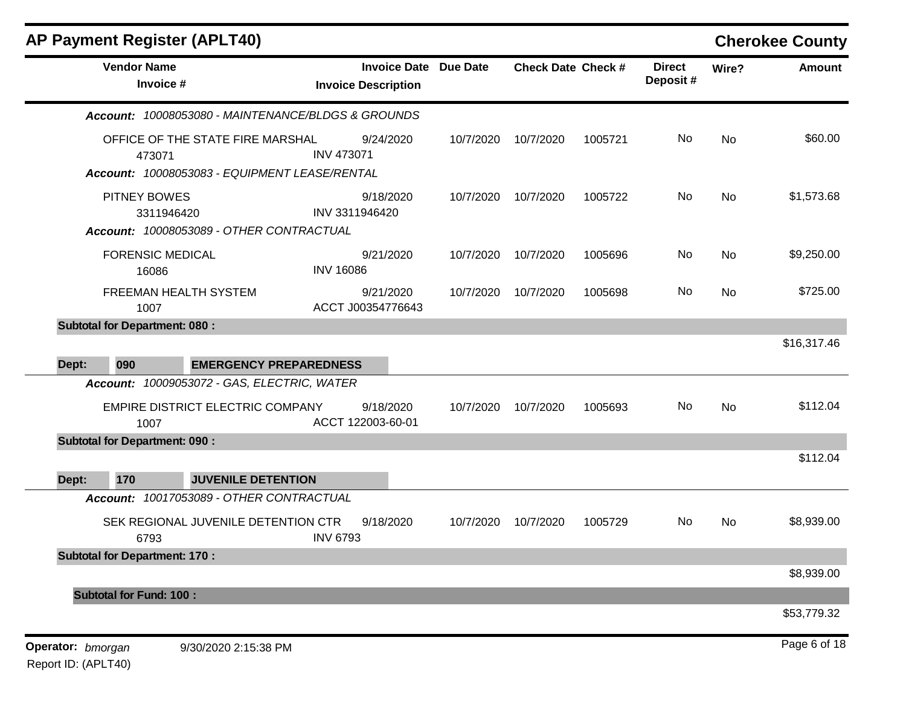|                   | <b>AP Payment Register (APLT40)</b>                                                                                             |                                                            |           |                           |         |                           |       | <b>Cherokee County</b> |
|-------------------|---------------------------------------------------------------------------------------------------------------------------------|------------------------------------------------------------|-----------|---------------------------|---------|---------------------------|-------|------------------------|
|                   | <b>Vendor Name</b><br>Invoice #                                                                                                 | <b>Invoice Date Due Date</b><br><b>Invoice Description</b> |           | <b>Check Date Check #</b> |         | <b>Direct</b><br>Deposit# | Wire? | <b>Amount</b>          |
|                   | Account: 10008053080 - MAINTENANCE/BLDGS & GROUNDS                                                                              |                                                            |           |                           |         |                           |       |                        |
|                   | OFFICE OF THE STATE FIRE MARSHAL<br>473071<br>Account: 10008053083 - EQUIPMENT LEASE/RENTAL                                     | 9/24/2020<br><b>INV 473071</b>                             | 10/7/2020 | 10/7/2020                 | 1005721 | No                        | No    | \$60.00                |
|                   | <b>PITNEY BOWES</b><br>3311946420<br>Account: 10008053089 - OTHER CONTRACTUAL                                                   | 9/18/2020<br>INV 3311946420                                | 10/7/2020 | 10/7/2020                 | 1005722 | No                        | No    | \$1,573.68             |
|                   | <b>FORENSIC MEDICAL</b><br>16086                                                                                                | 9/21/2020<br><b>INV 16086</b>                              | 10/7/2020 | 10/7/2020                 | 1005696 | No                        | No    | \$9,250.00             |
|                   | FREEMAN HEALTH SYSTEM<br>1007                                                                                                   | 9/21/2020<br>ACCT J00354776643                             | 10/7/2020 | 10/7/2020                 | 1005698 | No                        | No    | \$725.00               |
|                   | <b>Subtotal for Department: 080:</b>                                                                                            |                                                            |           |                           |         |                           |       |                        |
| Dept:<br>090      | <b>EMERGENCY PREPAREDNESS</b>                                                                                                   |                                                            |           |                           |         |                           |       | \$16,317.46            |
|                   | Account: 10009053072 - GAS, ELECTRIC, WATER<br>EMPIRE DISTRICT ELECTRIC COMPANY<br>1007<br><b>Subtotal for Department: 090:</b> | 9/18/2020<br>ACCT 122003-60-01                             | 10/7/2020 | 10/7/2020                 | 1005693 | No                        | No    | \$112.04               |
| 170<br>Dept:      | <b>JUVENILE DETENTION</b>                                                                                                       |                                                            |           |                           |         |                           |       | \$112.04               |
|                   | Account: 10017053089 - OTHER CONTRACTUAL                                                                                        |                                                            |           |                           |         |                           |       |                        |
|                   | SEK REGIONAL JUVENILE DETENTION CTR<br>6793                                                                                     | 9/18/2020<br><b>INV 6793</b>                               | 10/7/2020 | 10/7/2020                 | 1005729 | No                        | No    | \$8,939.00             |
|                   | <b>Subtotal for Department: 170:</b>                                                                                            |                                                            |           |                           |         |                           |       |                        |
|                   |                                                                                                                                 |                                                            |           |                           |         |                           |       | \$8,939.00             |
|                   | <b>Subtotal for Fund: 100:</b>                                                                                                  |                                                            |           |                           |         |                           |       | \$53,779.32            |
| Operator: bmorgan | 9/30/2020 2:15:38 PM                                                                                                            |                                                            |           |                           |         |                           |       | Page 6 of 18           |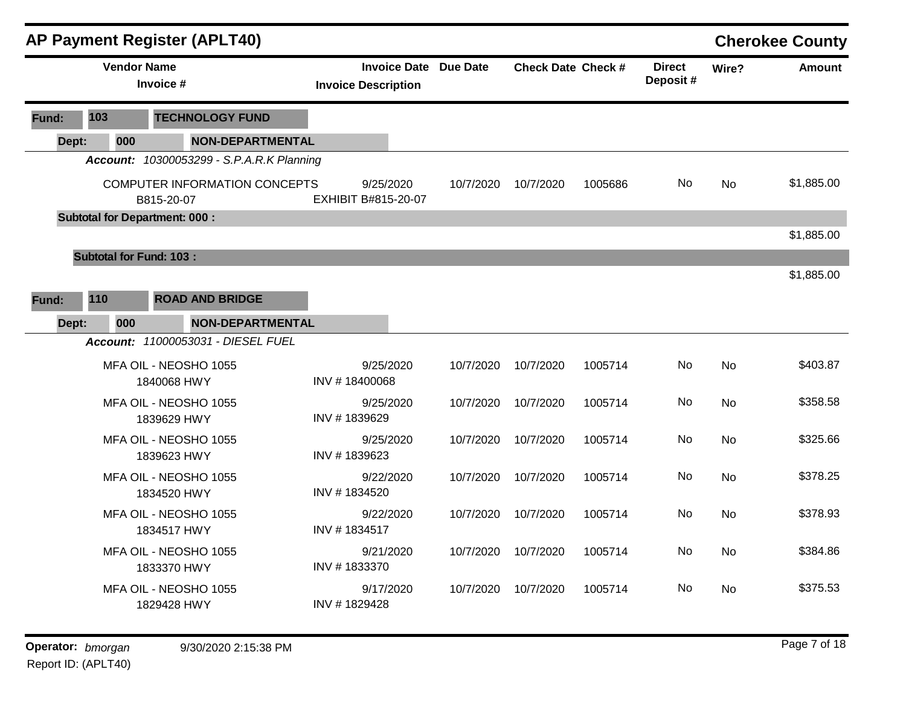|       | <b>AP Payment Register (APLT40)</b><br><b>Vendor Name</b> |                                                    |                         |                            |           |                              |                           |         |                           |           | <b>Cherokee County</b> |
|-------|-----------------------------------------------------------|----------------------------------------------------|-------------------------|----------------------------|-----------|------------------------------|---------------------------|---------|---------------------------|-----------|------------------------|
|       |                                                           | Invoice #                                          |                         | <b>Invoice Description</b> |           | <b>Invoice Date Due Date</b> | <b>Check Date Check #</b> |         | <b>Direct</b><br>Deposit# | Wire?     | Amount                 |
| Fund: | 103                                                       | <b>TECHNOLOGY FUND</b>                             |                         |                            |           |                              |                           |         |                           |           |                        |
| Dept: | 000                                                       |                                                    | <b>NON-DEPARTMENTAL</b> |                            |           |                              |                           |         |                           |           |                        |
|       |                                                           | <b>Account: 10300053299 - S.P.A.R.K Planning</b>   |                         |                            |           |                              |                           |         |                           |           |                        |
|       |                                                           | <b>COMPUTER INFORMATION CONCEPTS</b><br>B815-20-07 |                         | EXHIBIT B#815-20-07        | 9/25/2020 | 10/7/2020                    | 10/7/2020                 | 1005686 | No                        | <b>No</b> | \$1,885.00             |
|       |                                                           | <b>Subtotal for Department: 000:</b>               |                         |                            |           |                              |                           |         |                           |           |                        |
|       |                                                           |                                                    |                         |                            |           |                              |                           |         |                           |           | \$1,885.00             |
|       | <b>Subtotal for Fund: 103:</b>                            |                                                    |                         |                            |           |                              |                           |         |                           |           |                        |
|       |                                                           |                                                    |                         |                            |           |                              |                           |         |                           |           | \$1,885.00             |
| Fund: | 110                                                       | <b>ROAD AND BRIDGE</b>                             |                         |                            |           |                              |                           |         |                           |           |                        |
| Dept: | 000                                                       |                                                    | <b>NON-DEPARTMENTAL</b> |                            |           |                              |                           |         |                           |           |                        |
|       |                                                           | Account: 11000053031 - DIESEL FUEL                 |                         |                            |           |                              |                           |         |                           |           |                        |
|       |                                                           | MFA OIL - NEOSHO 1055<br>1840068 HWY               |                         | INV #18400068              | 9/25/2020 | 10/7/2020                    | 10/7/2020                 | 1005714 | No                        | <b>No</b> | \$403.87               |
|       |                                                           | MFA OIL - NEOSHO 1055<br>1839629 HWY               |                         | INV #1839629               | 9/25/2020 | 10/7/2020                    | 10/7/2020                 | 1005714 | No                        | <b>No</b> | \$358.58               |
|       |                                                           | MFA OIL - NEOSHO 1055<br>1839623 HWY               |                         | INV #1839623               | 9/25/2020 | 10/7/2020                    | 10/7/2020                 | 1005714 | No                        | <b>No</b> | \$325.66               |
|       |                                                           | MFA OIL - NEOSHO 1055<br>1834520 HWY               |                         | INV #1834520               | 9/22/2020 | 10/7/2020                    | 10/7/2020                 | 1005714 | No                        | <b>No</b> | \$378.25               |
|       |                                                           | MFA OIL - NEOSHO 1055<br>1834517 HWY               |                         | INV #1834517               | 9/22/2020 | 10/7/2020                    | 10/7/2020                 | 1005714 | No.                       | No        | \$378.93               |
|       |                                                           | MFA OIL - NEOSHO 1055<br>1833370 HWY               |                         | INV #1833370               | 9/21/2020 | 10/7/2020                    | 10/7/2020                 | 1005714 | No                        | No        | \$384.86               |
|       |                                                           | MFA OIL - NEOSHO 1055<br>1829428 HWY               |                         | 9/17/2020<br>INV #1829428  |           | 10/7/2020                    | 10/7/2020                 | 1005714 | No                        | <b>No</b> | \$375.53               |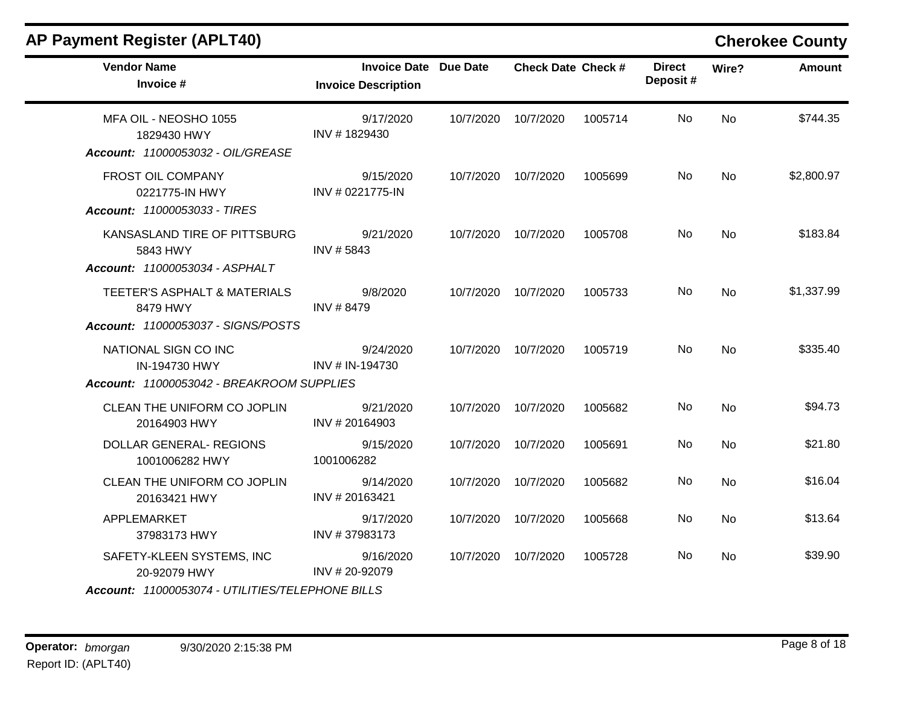## **AP Payment Register (APLT40) Cherokee County**

| <b>Vendor Name</b><br>Invoice #                                                               | <b>Invoice Date Due Date</b><br><b>Invoice Description</b> |           | <b>Check Date Check #</b> |         | <b>Direct</b><br>Deposit# | Wire?     | <b>Amount</b> |
|-----------------------------------------------------------------------------------------------|------------------------------------------------------------|-----------|---------------------------|---------|---------------------------|-----------|---------------|
| MFA OIL - NEOSHO 1055<br>1829430 HWY<br>Account: 11000053032 - OIL/GREASE                     | 9/17/2020<br>INV #1829430                                  | 10/7/2020 | 10/7/2020                 | 1005714 | No                        | <b>No</b> | \$744.35      |
| <b>FROST OIL COMPANY</b><br>0221775-IN HWY<br>Account: 11000053033 - TIRES                    | 9/15/2020<br>INV # 0221775-IN                              | 10/7/2020 | 10/7/2020                 | 1005699 | No                        | <b>No</b> | \$2,800.97    |
| KANSASLAND TIRE OF PITTSBURG<br>5843 HWY<br>Account: 11000053034 - ASPHALT                    | 9/21/2020<br>INV #5843                                     | 10/7/2020 | 10/7/2020                 | 1005708 | No                        | <b>No</b> | \$183.84      |
| TEETER'S ASPHALT & MATERIALS<br>8479 HWY<br>Account: 11000053037 - SIGNS/POSTS                | 9/8/2020<br>INV #8479                                      | 10/7/2020 | 10/7/2020                 | 1005733 | No                        | <b>No</b> | \$1,337.99    |
| NATIONAL SIGN CO INC<br>IN-194730 HWY<br>Account: 11000053042 - BREAKROOM SUPPLIES            | 9/24/2020<br>INV # IN-194730                               | 10/7/2020 | 10/7/2020                 | 1005719 | No                        | No        | \$335.40      |
| CLEAN THE UNIFORM CO JOPLIN<br>20164903 HWY                                                   | 9/21/2020<br>INV #20164903                                 | 10/7/2020 | 10/7/2020                 | 1005682 | No                        | <b>No</b> | \$94.73       |
| <b>DOLLAR GENERAL- REGIONS</b><br>1001006282 HWY                                              | 9/15/2020<br>1001006282                                    | 10/7/2020 | 10/7/2020                 | 1005691 | No                        | No        | \$21.80       |
| CLEAN THE UNIFORM CO JOPLIN<br>20163421 HWY                                                   | 9/14/2020<br>INV #20163421                                 | 10/7/2020 | 10/7/2020                 | 1005682 | No                        | No        | \$16.04       |
| APPLEMARKET<br>37983173 HWY                                                                   | 9/17/2020<br>INV #37983173                                 | 10/7/2020 | 10/7/2020                 | 1005668 | No                        | No        | \$13.64       |
| SAFETY-KLEEN SYSTEMS, INC<br>20-92079 HWY<br>Account: 11000053074 - UTILITIES/TELEPHONE BILLS | 9/16/2020<br>INV #20-92079                                 | 10/7/2020 | 10/7/2020                 | 1005728 | No.                       | <b>No</b> | \$39.90       |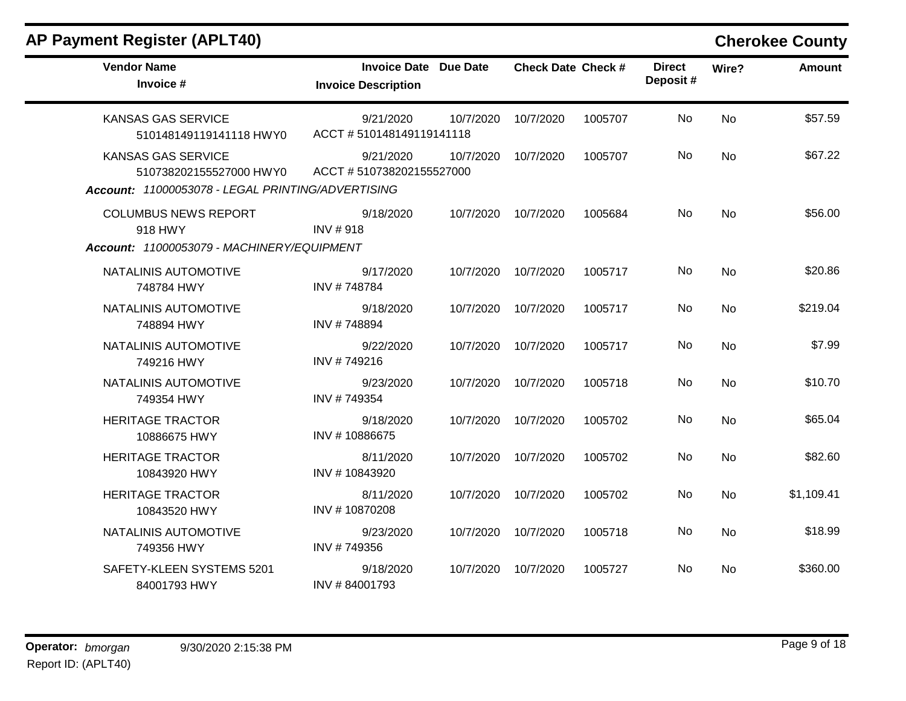### **AP Payment Register (APLT40) Cherokee County**

| <b>Vendor Name</b><br>Invoice #                                                                           | <b>Invoice Date Due Date</b><br><b>Invoice Description</b> |           | <b>Check Date Check #</b> |         | <b>Direct</b><br>Deposit# | Wire?     | <b>Amount</b> |
|-----------------------------------------------------------------------------------------------------------|------------------------------------------------------------|-----------|---------------------------|---------|---------------------------|-----------|---------------|
| <b>KANSAS GAS SERVICE</b><br>510148149119141118 HWY0                                                      | 9/21/2020<br>ACCT #510148149119141118                      | 10/7/2020 | 10/7/2020                 | 1005707 | No                        | No        | \$57.59       |
| <b>KANSAS GAS SERVICE</b><br>510738202155527000 HWY0<br>Account: 11000053078 - LEGAL PRINTING/ADVERTISING | 9/21/2020<br>ACCT #510738202155527000                      | 10/7/2020 | 10/7/2020                 | 1005707 | No                        | No        | \$67.22       |
| <b>COLUMBUS NEWS REPORT</b><br>918 HWY<br>Account: 11000053079 - MACHINERY/EQUIPMENT                      | 9/18/2020<br><b>INV#918</b>                                | 10/7/2020 | 10/7/2020                 | 1005684 | No                        | No        | \$56.00       |
| NATALINIS AUTOMOTIVE<br>748784 HWY                                                                        | 9/17/2020<br>INV #748784                                   | 10/7/2020 | 10/7/2020                 | 1005717 | No                        | <b>No</b> | \$20.86       |
| NATALINIS AUTOMOTIVE<br>748894 HWY                                                                        | 9/18/2020<br>INV #748894                                   | 10/7/2020 | 10/7/2020                 | 1005717 | No.                       | <b>No</b> | \$219.04      |
| NATALINIS AUTOMOTIVE<br>749216 HWY                                                                        | 9/22/2020<br>INV #749216                                   | 10/7/2020 | 10/7/2020                 | 1005717 | No                        | <b>No</b> | \$7.99        |
| NATALINIS AUTOMOTIVE<br>749354 HWY                                                                        | 9/23/2020<br>INV #749354                                   | 10/7/2020 | 10/7/2020                 | 1005718 | No.                       | <b>No</b> | \$10.70       |
| <b>HERITAGE TRACTOR</b><br>10886675 HWY                                                                   | 9/18/2020<br>INV#10886675                                  | 10/7/2020 | 10/7/2020                 | 1005702 | No                        | <b>No</b> | \$65.04       |
| <b>HERITAGE TRACTOR</b><br>10843920 HWY                                                                   | 8/11/2020<br>INV #10843920                                 | 10/7/2020 | 10/7/2020                 | 1005702 | No.                       | No        | \$82.60       |
| <b>HERITAGE TRACTOR</b><br>10843520 HWY                                                                   | 8/11/2020<br>INV #10870208                                 | 10/7/2020 | 10/7/2020                 | 1005702 | No                        | No        | \$1,109.41    |
| NATALINIS AUTOMOTIVE<br>749356 HWY                                                                        | 9/23/2020<br>INV #749356                                   | 10/7/2020 | 10/7/2020                 | 1005718 | No                        | <b>No</b> | \$18.99       |
| SAFETY-KLEEN SYSTEMS 5201<br>84001793 HWY                                                                 | 9/18/2020<br>INV #84001793                                 | 10/7/2020 | 10/7/2020                 | 1005727 | No                        | <b>No</b> | \$360.00      |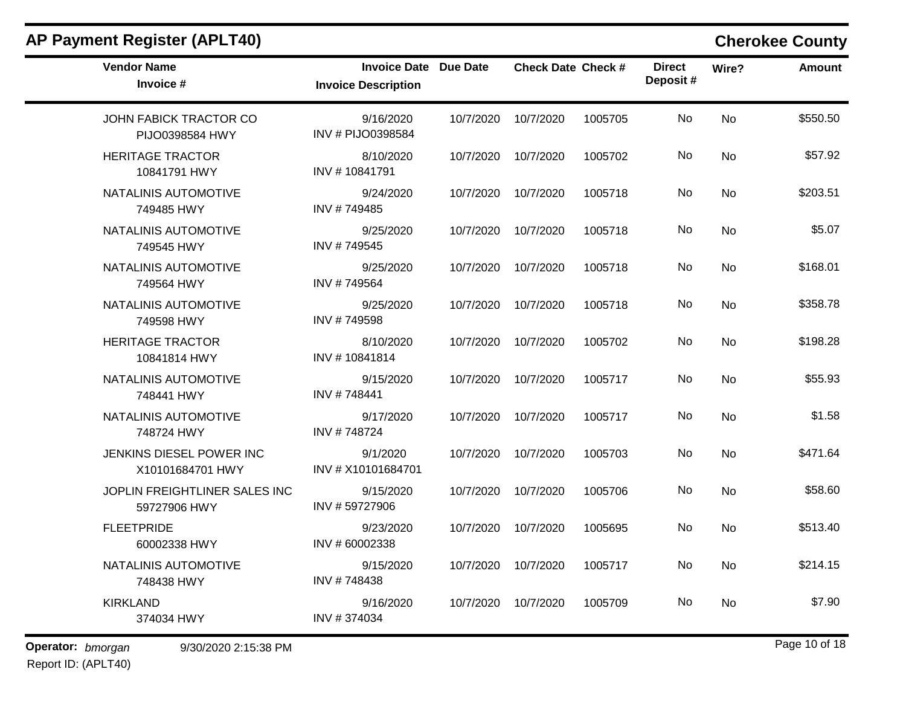| <b>Invoice Date Due Date</b>   |                               |           |                           |                           |       |               |
|--------------------------------|-------------------------------|-----------|---------------------------|---------------------------|-------|---------------|
| <b>Invoice Description</b>     |                               |           | <b>Check Date Check #</b> | <b>Direct</b><br>Deposit# | Wire? | <b>Amount</b> |
| 9/16/2020<br>INV # PIJO0398584 | 10/7/2020                     | 10/7/2020 | 1005705                   | No                        | No    | \$550.50      |
| 8/10/2020<br>INV #10841791     | 10/7/2020                     | 10/7/2020 | 1005702                   | No                        | No    | \$57.92       |
| 9/24/2020<br>INV #749485       | 10/7/2020                     | 10/7/2020 | 1005718                   | No                        | No    | \$203.51      |
| 9/25/2020<br>INV #749545       | 10/7/2020                     | 10/7/2020 | 1005718                   | No                        | No    | \$5.07        |
| 9/25/2020<br>INV #749564       | 10/7/2020                     | 10/7/2020 | 1005718                   | No                        | No    | \$168.01      |
| 9/25/2020<br>INV #749598       | 10/7/2020                     | 10/7/2020 | 1005718                   | No                        | No    | \$358.78      |
| 8/10/2020<br>INV #10841814     | 10/7/2020                     | 10/7/2020 | 1005702                   | No                        | No    | \$198.28      |
| 9/15/2020<br>INV #748441       | 10/7/2020                     | 10/7/2020 | 1005717                   | No                        | No    | \$55.93       |
| 9/17/2020<br>INV #748724       | 10/7/2020                     | 10/7/2020 | 1005717                   | No                        | No    | \$1.58        |
| 9/1/2020<br>INV # X10101684701 | 10/7/2020                     | 10/7/2020 | 1005703                   | No                        | No    | \$471.64      |
| 9/15/2020<br>INV #59727906     | 10/7/2020                     | 10/7/2020 | 1005706                   | No                        | No    | \$58.60       |
| 9/23/2020<br>INV # 60002338    | 10/7/2020                     | 10/7/2020 | 1005695                   | No                        | No    | \$513.40      |
| 9/15/2020<br>INV #748438       | 10/7/2020                     | 10/7/2020 | 1005717                   | No                        | No    | \$214.15      |
| 9/16/2020<br>INV #374034       | 10/7/2020                     | 10/7/2020 | 1005709                   | No                        | No    | \$7.90        |
|                                | JOPLIN FREIGHTLINER SALES INC |           |                           |                           |       |               |

Report ID: (APLT40)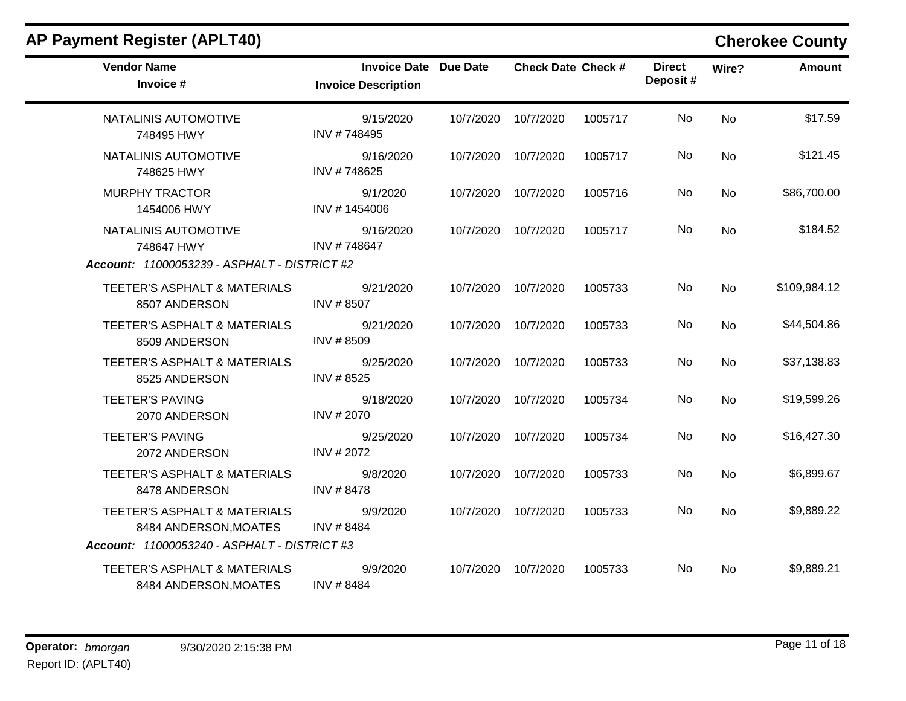| <b>AP Payment Register (APLT40)</b>                   |                                                            |           |                           |         |                           |           | <b>Cherokee County</b> |
|-------------------------------------------------------|------------------------------------------------------------|-----------|---------------------------|---------|---------------------------|-----------|------------------------|
| <b>Vendor Name</b><br>Invoice #                       | <b>Invoice Date Due Date</b><br><b>Invoice Description</b> |           | <b>Check Date Check #</b> |         | <b>Direct</b><br>Deposit# | Wire?     | <b>Amount</b>          |
| NATALINIS AUTOMOTIVE<br>748495 HWY                    | 9/15/2020<br>INV #748495                                   |           | 10/7/2020 10/7/2020       | 1005717 | No.                       | <b>No</b> | \$17.59                |
| NATALINIS AUTOMOTIVE<br>748625 HWY                    | 9/16/2020<br>INV #748625                                   | 10/7/2020 | 10/7/2020                 | 1005717 | No                        | No        | \$121.45               |
| <b>MURPHY TRACTOR</b><br>1454006 HWY                  | 9/1/2020<br>INV #1454006                                   |           | 10/7/2020 10/7/2020       | 1005716 | No.                       | No        | \$86,700.00            |
| NATALINIS AUTOMOTIVE<br>748647 HWY                    | 9/16/2020<br>INV #748647                                   | 10/7/2020 | 10/7/2020                 | 1005717 | No                        | <b>No</b> | \$184.52               |
| Account: 11000053239 - ASPHALT - DISTRICT #2          |                                                            |           |                           |         |                           |           |                        |
| TEETER'S ASPHALT & MATERIALS<br>8507 ANDERSON         | 9/21/2020<br>INV #8507                                     | 10/7/2020 | 10/7/2020                 | 1005733 | No                        | No        | \$109,984.12           |
| TEETER'S ASPHALT & MATERIALS<br>8509 ANDERSON         | 9/21/2020<br>INV #8509                                     |           | 10/7/2020 10/7/2020       | 1005733 | No.                       | <b>No</b> | \$44,504.86            |
| TEETER'S ASPHALT & MATERIALS<br>8525 ANDERSON         | 9/25/2020<br>INV #8525                                     | 10/7/2020 | 10/7/2020                 | 1005733 | No                        | No        | \$37,138.83            |
| <b>TEETER'S PAVING</b><br>2070 ANDERSON               | 9/18/2020<br>INV #2070                                     | 10/7/2020 | 10/7/2020                 | 1005734 | No.                       | <b>No</b> | \$19,599.26            |
| <b>TEETER'S PAVING</b><br>2072 ANDERSON               | 9/25/2020<br>INV # 2072                                    | 10/7/2020 | 10/7/2020                 | 1005734 | No                        | No        | \$16,427.30            |
| TEETER'S ASPHALT & MATERIALS<br>8478 ANDERSON         | 9/8/2020<br>INV #8478                                      | 10/7/2020 | 10/7/2020                 | 1005733 | No                        | No        | \$6,899.67             |
| TEETER'S ASPHALT & MATERIALS<br>8484 ANDERSON, MOATES | 9/9/2020<br>INV #8484                                      | 10/7/2020 | 10/7/2020                 | 1005733 | No                        | No        | \$9,889.22             |
| Account: 11000053240 - ASPHALT - DISTRICT #3          |                                                            |           |                           |         |                           |           |                        |
| TEETER'S ASPHALT & MATERIALS<br>8484 ANDERSON, MOATES | 9/9/2020<br>INV #8484                                      | 10/7/2020 | 10/7/2020                 | 1005733 | No.                       | No        | \$9,889.21             |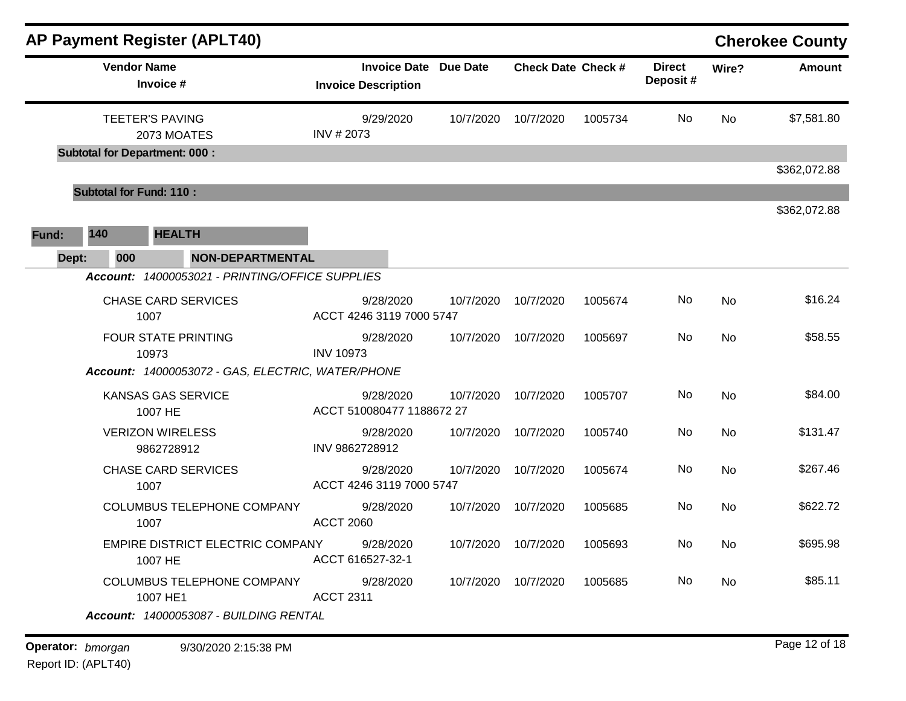| <b>AP Payment Register (APLT40)</b>                                                |                  |                                                            |                               |                             |         |                           |       | <b>Cherokee County</b> |
|------------------------------------------------------------------------------------|------------------|------------------------------------------------------------|-------------------------------|-----------------------------|---------|---------------------------|-------|------------------------|
| <b>Vendor Name</b><br>Invoice #                                                    |                  | <b>Invoice Date Due Date</b><br><b>Invoice Description</b> |                               | <b>Check Date Check #</b>   |         | <b>Direct</b><br>Deposit# | Wire? | <b>Amount</b>          |
| <b>TEETER'S PAVING</b><br>2073 MOATES<br><b>Subtotal for Department: 000:</b>      | INV #2073        | 9/29/2020                                                  | 10/7/2020                     | 10/7/2020                   | 1005734 | No                        | No    | \$7,581.80             |
|                                                                                    |                  |                                                            |                               |                             |         |                           |       | \$362,072.88           |
| <b>Subtotal for Fund: 110:</b>                                                     |                  |                                                            |                               |                             |         |                           |       |                        |
| <b>HEALTH</b><br>140<br>Fund:<br><b>NON-DEPARTMENTAL</b><br>000<br>Dept:           |                  |                                                            |                               |                             |         |                           |       | \$362,072.88           |
| Account: 14000053021 - PRINTING/OFFICE SUPPLIES                                    |                  |                                                            |                               |                             |         |                           |       |                        |
| <b>CHASE CARD SERVICES</b><br>1007                                                 |                  | 9/28/2020<br>ACCT 4246 3119 7000 5747                      | 10/7/2020                     | 10/7/2020                   | 1005674 | No                        | No    | \$16.24                |
| <b>FOUR STATE PRINTING</b><br>10973                                                | <b>INV 10973</b> | 9/28/2020                                                  | 10/7/2020                     | 10/7/2020                   | 1005697 | No                        | No    | \$58.55                |
| Account: 14000053072 - GAS, ELECTRIC, WATER/PHONE<br>KANSAS GAS SERVICE<br>1007 HE |                  | 9/28/2020<br>ACCT 510080477 1188672 27                     | 10/7/2020                     | 10/7/2020                   | 1005707 | No                        | No    | \$84.00                |
| <b>VERIZON WIRELESS</b><br>9862728912                                              | INV 9862728912   | 9/28/2020                                                  | 10/7/2020                     | 10/7/2020                   | 1005740 | No                        | No    | \$131.47               |
| <b>CHASE CARD SERVICES</b><br>1007                                                 |                  | 9/28/2020<br>ACCT 4246 3119 7000 5747                      | 10/7/2020                     | 10/7/2020                   | 1005674 | No                        | No    | \$267.46               |
| <b>COLUMBUS TELEPHONE COMPANY</b><br>1007                                          | <b>ACCT 2060</b> | 9/28/2020                                                  | 10/7/2020                     | 10/7/2020                   | 1005685 | No                        | No    | \$622.72               |
| EMPIRE DISTRICT ELECTRIC COMPANY 9/28/2020<br>1007 HE                              |                  | ACCT 616527-32-1                                           |                               | 10/7/2020 10/7/2020 1005693 |         | No                        | No    | \$695.98               |
| COLUMBUS TELEPHONE COMPANY 9/28/2020<br>1007 HE1                                   | <b>ACCT 2311</b> |                                                            | 10/7/2020  10/7/2020  1005685 |                             |         | No                        | No    | \$85.11                |
| Account: 14000053087 - BUILDING RENTAL                                             |                  |                                                            |                               |                             |         |                           |       |                        |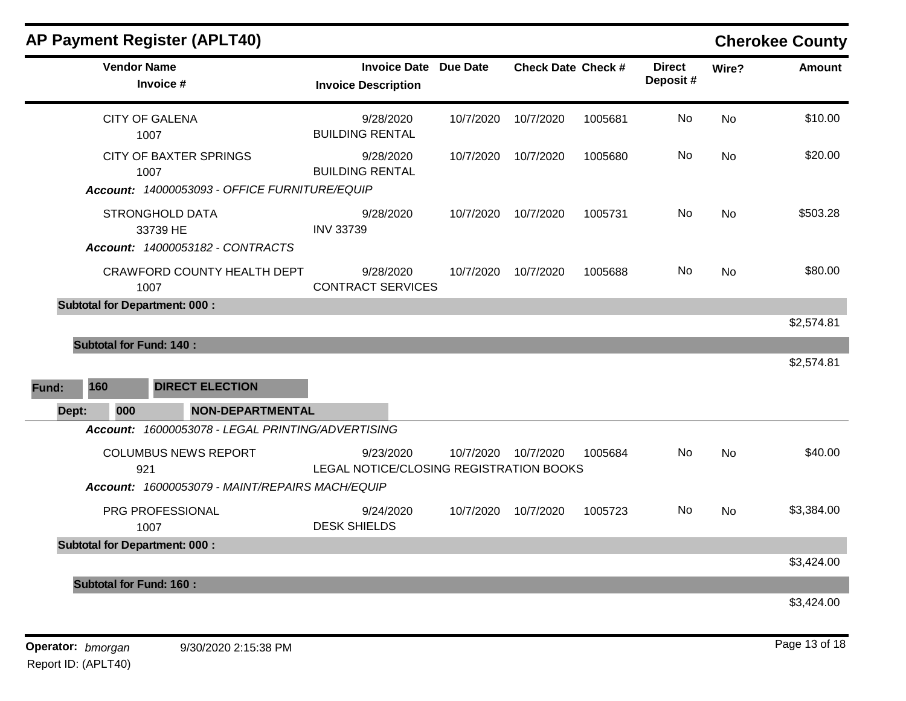|              | <b>AP Payment Register (APLT40)</b>                                    |                                                      |                 |                    |         |                           |           | <b>Cherokee County</b> |
|--------------|------------------------------------------------------------------------|------------------------------------------------------|-----------------|--------------------|---------|---------------------------|-----------|------------------------|
|              | <b>Vendor Name</b><br>Invoice #                                        | <b>Invoice Date</b><br><b>Invoice Description</b>    | <b>Due Date</b> | Check Date Check # |         | <b>Direct</b><br>Deposit# | Wire?     | <b>Amount</b>          |
|              | <b>CITY OF GALENA</b><br>1007                                          | 9/28/2020<br><b>BUILDING RENTAL</b>                  | 10/7/2020       | 10/7/2020          | 1005681 | No                        | <b>No</b> | \$10.00                |
|              | <b>CITY OF BAXTER SPRINGS</b><br>1007                                  | 9/28/2020<br><b>BUILDING RENTAL</b>                  | 10/7/2020       | 10/7/2020          | 1005680 | No.                       | No        | \$20.00                |
|              | Account: 14000053093 - OFFICE FURNITURE/EQUIP                          |                                                      |                 |                    |         |                           |           |                        |
|              | <b>STRONGHOLD DATA</b><br>33739 HE<br>Account: 14000053182 - CONTRACTS | 9/28/2020<br><b>INV 33739</b>                        | 10/7/2020       | 10/7/2020          | 1005731 | No                        | <b>No</b> | \$503.28               |
|              | CRAWFORD COUNTY HEALTH DEPT<br>1007                                    | 9/28/2020<br><b>CONTRACT SERVICES</b>                | 10/7/2020       | 10/7/2020          | 1005688 | No.                       | <b>No</b> | \$80.00                |
|              | <b>Subtotal for Department: 000:</b>                                   |                                                      |                 |                    |         |                           |           |                        |
|              |                                                                        |                                                      |                 |                    |         |                           |           | \$2,574.81             |
|              | <b>Subtotal for Fund: 140:</b>                                         |                                                      |                 |                    |         |                           |           |                        |
|              |                                                                        |                                                      |                 |                    |         |                           |           | \$2,574.81             |
| 160<br>Fund: | <b>DIRECT ELECTION</b>                                                 |                                                      |                 |                    |         |                           |           |                        |
| Dept:        | 000<br><b>NON-DEPARTMENTAL</b>                                         |                                                      |                 |                    |         |                           |           |                        |
|              | Account: 16000053078 - LEGAL PRINTING/ADVERTISING                      |                                                      |                 |                    |         |                           |           |                        |
|              | <b>COLUMBUS NEWS REPORT</b><br>921                                     | 9/23/2020<br>LEGAL NOTICE/CLOSING REGISTRATION BOOKS | 10/7/2020       | 10/7/2020          | 1005684 | No.                       | <b>No</b> | \$40.00                |
|              | Account: 16000053079 - MAINT/REPAIRS MACH/EQUIP                        |                                                      |                 |                    |         |                           |           |                        |
|              | PRG PROFESSIONAL<br>1007                                               | 9/24/2020<br><b>DESK SHIELDS</b>                     | 10/7/2020       | 10/7/2020          | 1005723 | No                        | No        | \$3,384.00             |
|              | <b>Subtotal for Department: 000:</b>                                   |                                                      |                 |                    |         |                           |           |                        |
|              |                                                                        |                                                      |                 |                    |         |                           |           | \$3,424.00             |
|              | <b>Subtotal for Fund: 160:</b>                                         |                                                      |                 |                    |         |                           |           |                        |
|              |                                                                        |                                                      |                 |                    |         |                           |           | \$3,424.00             |
|              |                                                                        |                                                      |                 |                    |         |                           |           |                        |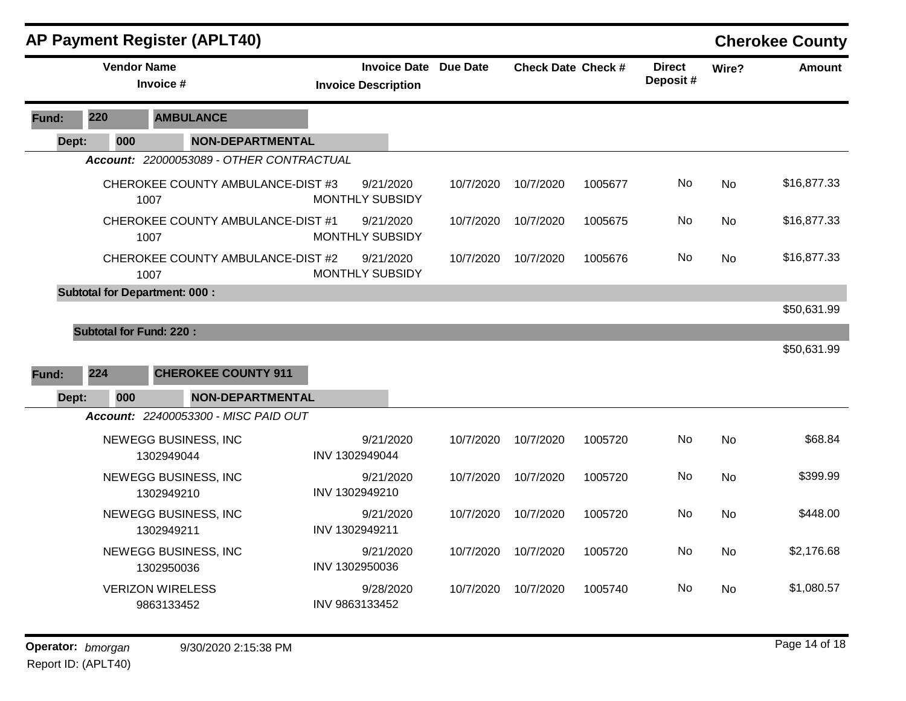| <b>AP Payment Register (APLT40)</b> |     |                                                                                                                                                                                                                                                                                                                                                                                                                                                                                                                                                                                         |                         |                |                                                            | <b>Cherokee County</b> |                           |         |                           |           |               |
|-------------------------------------|-----|-----------------------------------------------------------------------------------------------------------------------------------------------------------------------------------------------------------------------------------------------------------------------------------------------------------------------------------------------------------------------------------------------------------------------------------------------------------------------------------------------------------------------------------------------------------------------------------------|-------------------------|----------------|------------------------------------------------------------|------------------------|---------------------------|---------|---------------------------|-----------|---------------|
|                                     |     |                                                                                                                                                                                                                                                                                                                                                                                                                                                                                                                                                                                         |                         |                | <b>Invoice Date Due Date</b><br><b>Invoice Description</b> |                        | <b>Check Date Check #</b> |         | <b>Direct</b><br>Deposit# | Wire?     | <b>Amount</b> |
| Fund:                               | 220 |                                                                                                                                                                                                                                                                                                                                                                                                                                                                                                                                                                                         |                         |                |                                                            |                        |                           |         |                           |           |               |
| Dept:                               |     | <b>Vendor Name</b><br>Invoice #<br><b>AMBULANCE</b><br>000<br>Account: 22000053089 - OTHER CONTRACTUAL<br>CHEROKEE COUNTY AMBULANCE-DIST #3<br>1007<br>CHEROKEE COUNTY AMBULANCE-DIST #1<br>1007<br>CHEROKEE COUNTY AMBULANCE-DIST #2<br>1007<br><b>Subtotal for Department: 000:</b><br><b>Subtotal for Fund: 220:</b><br><b>CHEROKEE COUNTY 911</b><br>000<br>Account: 22400053300 - MISC PAID OUT<br>NEWEGG BUSINESS, INC<br>1302949044<br>NEWEGG BUSINESS, INC<br>1302949210<br>NEWEGG BUSINESS, INC<br>1302949211<br>NEWEGG BUSINESS, INC<br>1302950036<br><b>VERIZON WIRELESS</b> | <b>NON-DEPARTMENTAL</b> |                |                                                            |                        |                           |         |                           |           |               |
|                                     |     |                                                                                                                                                                                                                                                                                                                                                                                                                                                                                                                                                                                         |                         |                |                                                            |                        |                           |         |                           |           |               |
|                                     |     |                                                                                                                                                                                                                                                                                                                                                                                                                                                                                                                                                                                         |                         |                | 9/21/2020<br>MONTHLY SUBSIDY                               | 10/7/2020              | 10/7/2020                 | 1005677 | No                        | No        | \$16,877.33   |
|                                     |     |                                                                                                                                                                                                                                                                                                                                                                                                                                                                                                                                                                                         |                         |                | 9/21/2020<br><b>MONTHLY SUBSIDY</b>                        | 10/7/2020              | 10/7/2020                 | 1005675 | No                        | No        | \$16,877.33   |
|                                     |     |                                                                                                                                                                                                                                                                                                                                                                                                                                                                                                                                                                                         |                         |                | 9/21/2020<br>MONTHLY SUBSIDY                               | 10/7/2020              | 10/7/2020                 | 1005676 | No                        | <b>No</b> | \$16,877.33   |
|                                     |     |                                                                                                                                                                                                                                                                                                                                                                                                                                                                                                                                                                                         |                         |                |                                                            |                        |                           |         |                           |           |               |
|                                     |     |                                                                                                                                                                                                                                                                                                                                                                                                                                                                                                                                                                                         |                         |                |                                                            |                        |                           |         |                           |           | \$50,631.99   |
|                                     |     |                                                                                                                                                                                                                                                                                                                                                                                                                                                                                                                                                                                         |                         |                |                                                            |                        |                           |         |                           |           |               |
|                                     |     |                                                                                                                                                                                                                                                                                                                                                                                                                                                                                                                                                                                         |                         |                |                                                            |                        |                           |         |                           |           | \$50,631.99   |
| Fund:                               | 224 |                                                                                                                                                                                                                                                                                                                                                                                                                                                                                                                                                                                         |                         |                |                                                            |                        |                           |         |                           |           |               |
| Dept:                               |     |                                                                                                                                                                                                                                                                                                                                                                                                                                                                                                                                                                                         | <b>NON-DEPARTMENTAL</b> |                |                                                            |                        |                           |         |                           |           |               |
|                                     |     |                                                                                                                                                                                                                                                                                                                                                                                                                                                                                                                                                                                         |                         |                |                                                            |                        |                           |         |                           |           |               |
|                                     |     |                                                                                                                                                                                                                                                                                                                                                                                                                                                                                                                                                                                         |                         | INV 1302949044 | 9/21/2020                                                  | 10/7/2020              | 10/7/2020                 | 1005720 | No.                       | No        | \$68.84       |
|                                     |     |                                                                                                                                                                                                                                                                                                                                                                                                                                                                                                                                                                                         |                         | INV 1302949210 | 9/21/2020                                                  | 10/7/2020              | 10/7/2020                 | 1005720 | No                        | No        | \$399.99      |
|                                     |     |                                                                                                                                                                                                                                                                                                                                                                                                                                                                                                                                                                                         |                         | INV 1302949211 | 9/21/2020                                                  | 10/7/2020              | 10/7/2020                 | 1005720 | No                        | <b>No</b> | \$448.00      |
|                                     |     |                                                                                                                                                                                                                                                                                                                                                                                                                                                                                                                                                                                         |                         | INV 1302950036 | 9/21/2020                                                  | 10/7/2020              | 10/7/2020                 | 1005720 | No                        | <b>No</b> | \$2,176.68    |
|                                     |     | 9863133452                                                                                                                                                                                                                                                                                                                                                                                                                                                                                                                                                                              |                         | INV 9863133452 | 9/28/2020                                                  | 10/7/2020              | 10/7/2020                 | 1005740 | No.                       | No        | \$1,080.57    |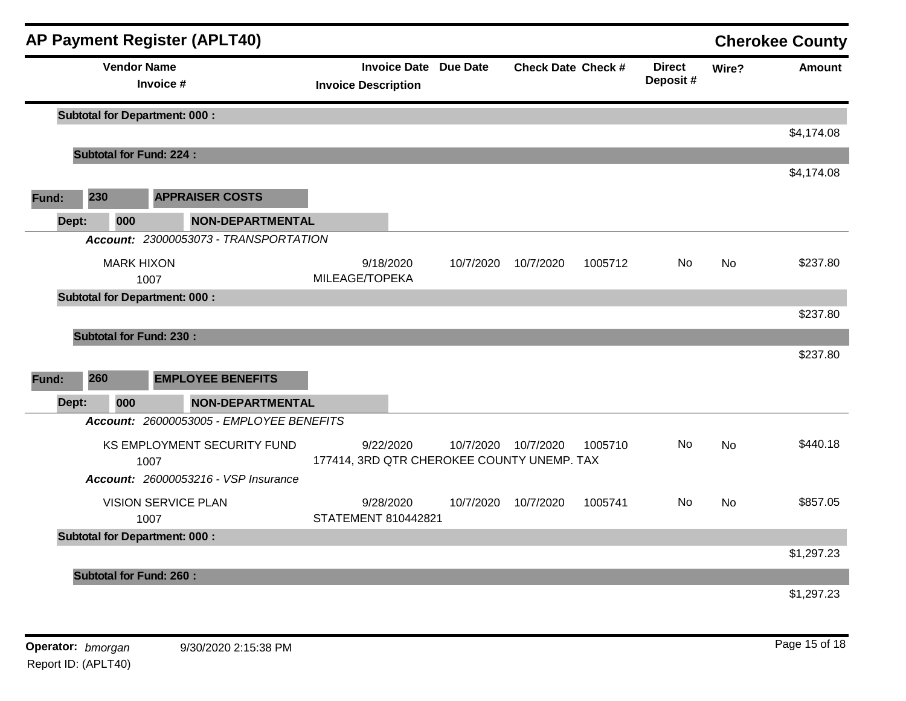|       |       |     |                                      | <b>AP Payment Register (APLT40)</b>      |                            |           |                                            |                           |         |                           |           | <b>Cherokee County</b> |
|-------|-------|-----|--------------------------------------|------------------------------------------|----------------------------|-----------|--------------------------------------------|---------------------------|---------|---------------------------|-----------|------------------------|
|       |       |     | <b>Vendor Name</b><br>Invoice #      |                                          | <b>Invoice Description</b> |           | <b>Invoice Date Due Date</b>               | <b>Check Date Check #</b> |         | <b>Direct</b><br>Deposit# | Wire?     | <b>Amount</b>          |
|       |       |     | <b>Subtotal for Department: 000:</b> |                                          |                            |           |                                            |                           |         |                           |           |                        |
|       |       |     |                                      |                                          |                            |           |                                            |                           |         |                           |           | \$4,174.08             |
|       |       |     | <b>Subtotal for Fund: 224:</b>       |                                          |                            |           |                                            |                           |         |                           |           | \$4,174.08             |
| Fund: | 230   |     |                                      | <b>APPRAISER COSTS</b>                   |                            |           |                                            |                           |         |                           |           |                        |
|       | Dept: | 000 |                                      | <b>NON-DEPARTMENTAL</b>                  |                            |           |                                            |                           |         |                           |           |                        |
|       |       |     |                                      | Account: 23000053073 - TRANSPORTATION    |                            |           |                                            |                           |         |                           |           |                        |
|       |       |     | <b>MARK HIXON</b>                    |                                          |                            | 9/18/2020 | 10/7/2020                                  | 10/7/2020                 | 1005712 | No                        | <b>No</b> | \$237.80               |
|       |       |     | 1007                                 |                                          | MILEAGE/TOPEKA             |           |                                            |                           |         |                           |           |                        |
|       |       |     | <b>Subtotal for Department: 000:</b> |                                          |                            |           |                                            |                           |         |                           |           |                        |
|       |       |     |                                      |                                          |                            |           |                                            |                           |         |                           |           | \$237.80               |
|       |       |     | <b>Subtotal for Fund: 230:</b>       |                                          |                            |           |                                            |                           |         |                           |           | \$237.80               |
|       |       |     |                                      |                                          |                            |           |                                            |                           |         |                           |           |                        |
| Fund: | 260   |     |                                      | <b>EMPLOYEE BENEFITS</b>                 |                            |           |                                            |                           |         |                           |           |                        |
|       | Dept: | 000 |                                      | <b>NON-DEPARTMENTAL</b>                  |                            |           |                                            |                           |         |                           |           |                        |
|       |       |     |                                      | Account: 26000053005 - EMPLOYEE BENEFITS |                            |           |                                            |                           |         |                           |           |                        |
|       |       |     |                                      | KS EMPLOYMENT SECURITY FUND              |                            | 9/22/2020 | 10/7/2020                                  | 10/7/2020                 | 1005710 | No.                       | <b>No</b> | \$440.18               |
|       |       |     | 1007                                 |                                          |                            |           | 177414, 3RD QTR CHEROKEE COUNTY UNEMP. TAX |                           |         |                           |           |                        |
|       |       |     |                                      | Account: 26000053216 - VSP Insurance     |                            |           |                                            |                           |         |                           |           |                        |
|       |       |     | <b>VISION SERVICE PLAN</b>           |                                          |                            | 9/28/2020 | 10/7/2020                                  | 10/7/2020                 | 1005741 | No.                       | <b>No</b> | \$857.05               |
|       |       |     | 1007                                 |                                          | <b>STATEMENT 810442821</b> |           |                                            |                           |         |                           |           |                        |
|       |       |     | <b>Subtotal for Department: 000:</b> |                                          |                            |           |                                            |                           |         |                           |           | \$1,297.23             |
|       |       |     | <b>Subtotal for Fund: 260:</b>       |                                          |                            |           |                                            |                           |         |                           |           |                        |
|       |       |     |                                      |                                          |                            |           |                                            |                           |         |                           |           | \$1,297.23             |
|       |       |     |                                      |                                          |                            |           |                                            |                           |         |                           |           |                        |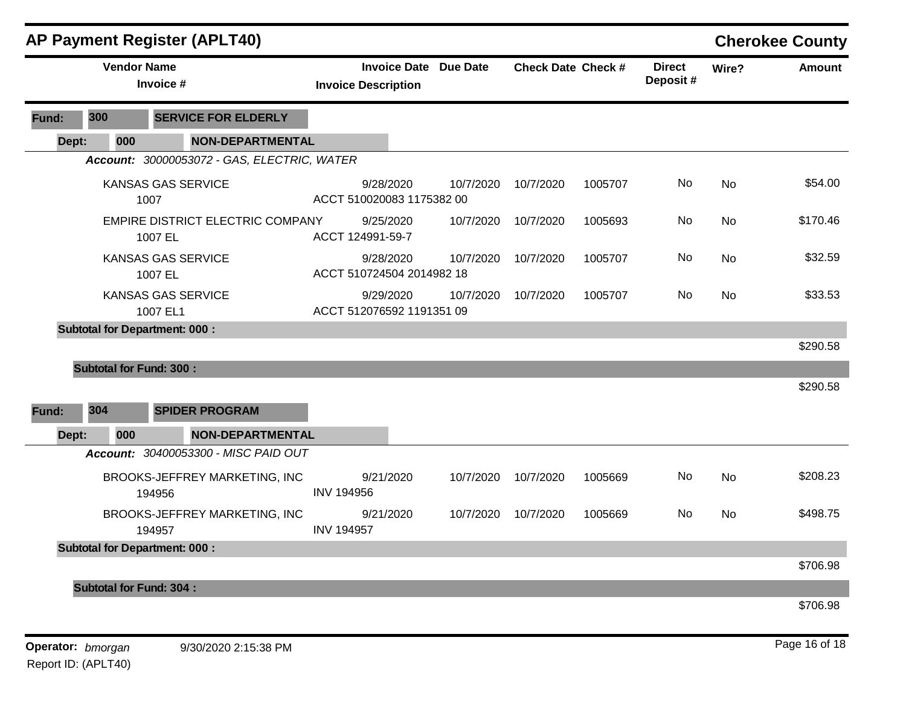|       |                                 | <b>AP Payment Register (APLT40)</b>         |                           |                            |                              |                           |         |                           |       | <b>Cherokee County</b> |
|-------|---------------------------------|---------------------------------------------|---------------------------|----------------------------|------------------------------|---------------------------|---------|---------------------------|-------|------------------------|
|       | <b>Vendor Name</b><br>Invoice # |                                             |                           | <b>Invoice Description</b> | <b>Invoice Date Due Date</b> | <b>Check Date Check #</b> |         | <b>Direct</b><br>Deposit# | Wire? | <b>Amount</b>          |
| Fund: | 300                             | <b>SERVICE FOR ELDERLY</b>                  |                           |                            |                              |                           |         |                           |       |                        |
| Dept: | 000                             | <b>NON-DEPARTMENTAL</b>                     |                           |                            |                              |                           |         |                           |       |                        |
|       |                                 | Account: 30000053072 - GAS, ELECTRIC, WATER |                           |                            |                              |                           |         |                           |       |                        |
|       |                                 | KANSAS GAS SERVICE<br>1007                  | ACCT 510020083 1175382 00 | 9/28/2020                  | 10/7/2020                    | 10/7/2020                 | 1005707 | No                        | No    | \$54.00                |
|       |                                 | EMPIRE DISTRICT ELECTRIC COMPANY<br>1007 EL | ACCT 124991-59-7          | 9/25/2020                  | 10/7/2020                    | 10/7/2020                 | 1005693 | No                        | No    | \$170.46               |
|       |                                 | <b>KANSAS GAS SERVICE</b><br>1007 EL        | ACCT 510724504 2014982 18 | 9/28/2020                  | 10/7/2020                    | 10/7/2020                 | 1005707 | No                        | No    | \$32.59                |
|       |                                 | <b>KANSAS GAS SERVICE</b><br>1007 EL1       | ACCT 512076592 1191351 09 | 9/29/2020                  | 10/7/2020                    | 10/7/2020                 | 1005707 | No                        | No    | \$33.53                |
|       |                                 | <b>Subtotal for Department: 000:</b>        |                           |                            |                              |                           |         |                           |       |                        |
|       |                                 |                                             |                           |                            |                              |                           |         |                           |       | \$290.58               |
|       | <b>Subtotal for Fund: 300:</b>  |                                             |                           |                            |                              |                           |         |                           |       |                        |
| Fund: | 304                             | <b>SPIDER PROGRAM</b>                       |                           |                            |                              |                           |         |                           |       | \$290.58               |
| Dept: | 000                             | <b>NON-DEPARTMENTAL</b>                     |                           |                            |                              |                           |         |                           |       |                        |
|       |                                 | Account: 30400053300 - MISC PAID OUT        |                           |                            |                              |                           |         |                           |       |                        |
|       |                                 | BROOKS-JEFFREY MARKETING, INC<br>194956     | <b>INV 194956</b>         | 9/21/2020                  | 10/7/2020                    | 10/7/2020                 | 1005669 | No                        | No    | \$208.23               |
|       |                                 | BROOKS-JEFFREY MARKETING, INC<br>194957     | <b>INV 194957</b>         | 9/21/2020                  | 10/7/2020                    | 10/7/2020                 | 1005669 | No                        | No    | \$498.75               |
|       |                                 | <b>Subtotal for Department: 000:</b>        |                           |                            |                              |                           |         |                           |       |                        |
|       |                                 |                                             |                           |                            |                              |                           |         |                           |       | \$706.98               |
|       | <b>Subtotal for Fund: 304:</b>  |                                             |                           |                            |                              |                           |         |                           |       |                        |
|       |                                 |                                             |                           |                            |                              |                           |         |                           |       | \$706.98               |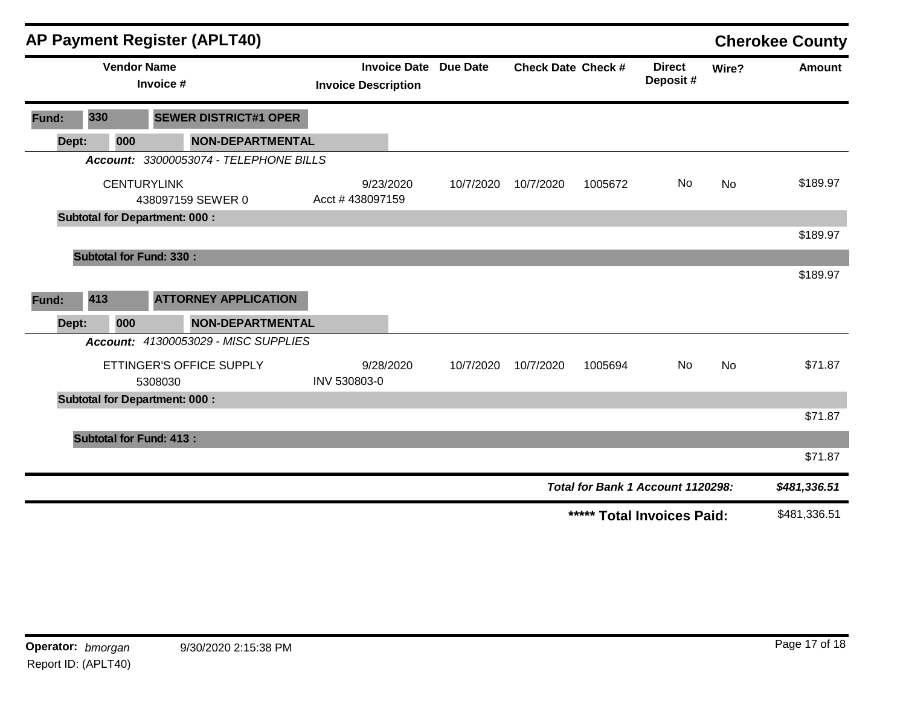|       |                                | <b>AP Payment Register (APLT40)</b>                             |                                                            |           |                           |         |                                   |       | <b>Cherokee County</b> |
|-------|--------------------------------|-----------------------------------------------------------------|------------------------------------------------------------|-----------|---------------------------|---------|-----------------------------------|-------|------------------------|
|       | <b>Vendor Name</b>             | Invoice #                                                       | <b>Invoice Date Due Date</b><br><b>Invoice Description</b> |           | <b>Check Date Check #</b> |         | <b>Direct</b><br>Deposit#         | Wire? | <b>Amount</b>          |
| Fund: | 330                            | <b>SEWER DISTRICT#1 OPER</b>                                    |                                                            |           |                           |         |                                   |       |                        |
| Dept: | 000                            | <b>NON-DEPARTMENTAL</b>                                         |                                                            |           |                           |         |                                   |       |                        |
|       |                                | Account: 33000053074 - TELEPHONE BILLS                          |                                                            |           |                           |         |                                   |       |                        |
|       |                                | <b>CENTURYLINK</b><br>438097159 SEWER 0                         | 9/23/2020<br>Acct #438097159                               | 10/7/2020 | 10/7/2020                 | 1005672 | No.                               | No    | \$189.97               |
|       |                                | <b>Subtotal for Department: 000:</b>                            |                                                            |           |                           |         |                                   |       |                        |
|       |                                |                                                                 |                                                            |           |                           |         |                                   |       | \$189.97               |
|       | <b>Subtotal for Fund: 330:</b> |                                                                 |                                                            |           |                           |         |                                   |       |                        |
| Fund: | 413                            | <b>ATTORNEY APPLICATION</b>                                     |                                                            |           |                           |         |                                   |       | \$189.97               |
| Dept: | 000                            | <b>NON-DEPARTMENTAL</b><br>Account: 41300053029 - MISC SUPPLIES |                                                            |           |                           |         |                                   |       |                        |
|       |                                | ETTINGER'S OFFICE SUPPLY<br>5308030                             | 9/28/2020<br>INV 530803-0                                  | 10/7/2020 | 10/7/2020                 | 1005694 | No                                | No    | \$71.87                |
|       |                                | <b>Subtotal for Department: 000:</b>                            |                                                            |           |                           |         |                                   |       |                        |
|       |                                |                                                                 |                                                            |           |                           |         |                                   |       | \$71.87                |
|       | <b>Subtotal for Fund: 413:</b> |                                                                 |                                                            |           |                           |         |                                   |       |                        |
|       |                                |                                                                 |                                                            |           |                           |         |                                   |       | \$71.87                |
|       |                                |                                                                 |                                                            |           |                           |         | Total for Bank 1 Account 1120298: |       | \$481,336.51           |
|       |                                |                                                                 |                                                            |           |                           |         | ***** Total Invoices Paid:        |       | \$481,336.51           |